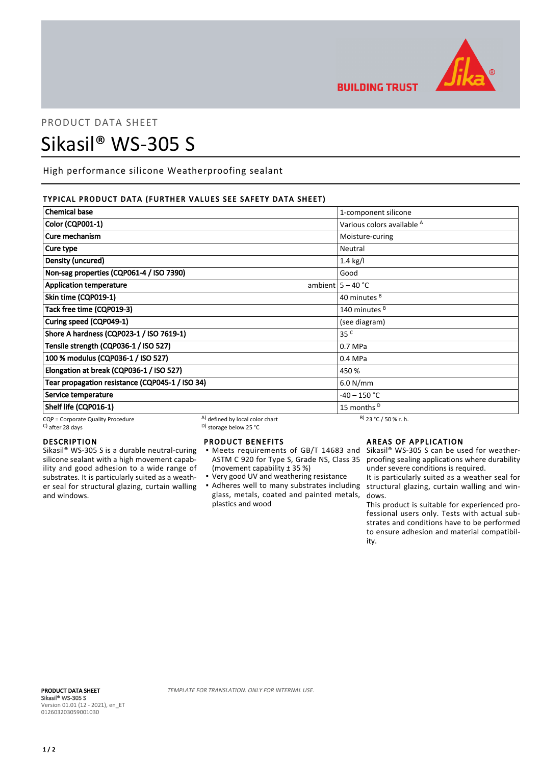

**BUILDING TRUST** 

# PRODUCT DATA SHEET

# Sikasil® WS-305 S

High performance silicone Weatherproofing sealant

# TYPICAL PRODUCT DATA (FURTHER VALUES SEE SAFETY DATA SHEET)

| <b>Chemical base</b>                            |                                 | 1-component silicone                  |
|-------------------------------------------------|---------------------------------|---------------------------------------|
| <b>Color (CQP001-1)</b>                         |                                 | Various colors available <sup>A</sup> |
| Cure mechanism                                  |                                 | Moisture-curing                       |
| Cure type                                       |                                 | Neutral                               |
| Density (uncured)                               |                                 | $1.4$ kg/l                            |
| Non-sag properties (CQP061-4 / ISO 7390)        |                                 | Good                                  |
| <b>Application temperature</b>                  |                                 | ambient $5 - 40$ °C                   |
| Skin time (CQP019-1)                            |                                 | 40 minutes <sup>B</sup>               |
| Tack free time (CQP019-3)                       |                                 | 140 minutes <sup>B</sup>              |
| Curing speed (CQP049-1)                         |                                 | (see diagram)                         |
| Shore A hardness (CQP023-1 / ISO 7619-1)        |                                 | 35 <sup>C</sup>                       |
| Tensile strength (CQP036-1 / ISO 527)           |                                 | 0.7 MPa                               |
| 100 % modulus (CQP036-1 / ISO 527)              |                                 | 0.4 MPa                               |
| Elongation at break (CQP036-1 / ISO 527)        |                                 | 450 %                                 |
| Tear propagation resistance (CQP045-1 / ISO 34) |                                 | 6.0 N/mm                              |
| Service temperature                             |                                 | -40 – 150 °C                          |
| Shelf life (CQP016-1)                           |                                 | 15 months <sup>D</sup>                |
| CQP = Corporate Quality Procedure               | A) defined by local color chart | $B)$ 23 °C / 50 % r. h.               |

 $\sim$  D) storage below 25 °C

# DESCRIPTION

Sikasil® WS-305 S is a durable neutral-curing silicone sealant with a high movement capability and good adhesion to a wide range of substrates. It is particularly suited as a weather seal for structural glazing, curtain walling and windows.

# PRODUCT BENEFITS

- ASTM C 920 for Type S, Grade NS, Class 35 (movement capability ± 35 %) ▪
- Very good UV and weathering resistance
- Adheres well to many substrates including structural glazing, curtain walling and winglass, metals, coated and painted metals, plastics and wood

# AREAS OF APPLICATION

Meets requirements of GB/T 14683 and Sikasil® WS-305 S can be used for weatherproofing sealing applications where durability under severe conditions is required.

> It is particularly suited as a weather seal for dows.

> This product is suitable for experienced professional users only. Tests with actual substrates and conditions have to be performed to ensure adhesion and material compatibility.